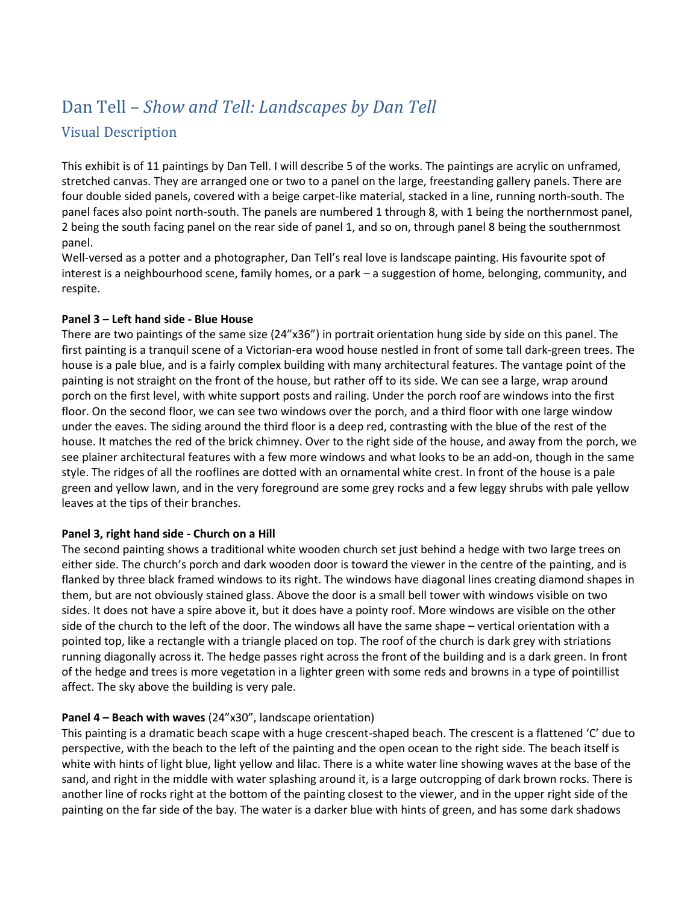# Dan Tell – *Show and Tell: Landscapes by Dan Tell*

# Visual Description

This exhibit is of 11 paintings by Dan Tell. I will describe 5 of the works. The paintings are acrylic on unframed, stretched canvas. They are arranged one or two to a panel on the large, freestanding gallery panels. There are four double sided panels, covered with a beige carpet-like material, stacked in a line, running north-south. The panel faces also point north-south. The panels are numbered 1 through 8, with 1 being the northernmost panel, 2 being the south facing panel on the rear side of panel 1, and so on, through panel 8 being the southernmost panel.

Well-versed as a potter and a photographer, Dan Tell's real love is landscape painting. His favourite spot of interest is a neighbourhood scene, family homes, or a park – a suggestion of home, belonging, community, and respite.

#### **Panel 3 – Left hand side - Blue House**

There are two paintings of the same size (24"x36") in portrait orientation hung side by side on this panel. The first painting is a tranquil scene of a Victorian-era wood house nestled in front of some tall dark-green trees. The house is a pale blue, and is a fairly complex building with many architectural features. The vantage point of the painting is not straight on the front of the house, but rather off to its side. We can see a large, wrap around porch on the first level, with white support posts and railing. Under the porch roof are windows into the first floor. On the second floor, we can see two windows over the porch, and a third floor with one large window under the eaves. The siding around the third floor is a deep red, contrasting with the blue of the rest of the house. It matches the red of the brick chimney. Over to the right side of the house, and away from the porch, we see plainer architectural features with a few more windows and what looks to be an add-on, though in the same style. The ridges of all the rooflines are dotted with an ornamental white crest. In front of the house is a pale green and yellow lawn, and in the very foreground are some grey rocks and a few leggy shrubs with pale yellow leaves at the tips of their branches.

## **Panel 3, right hand side - Church on a Hill**

The second painting shows a traditional white wooden church set just behind a hedge with two large trees on either side. The church's porch and dark wooden door is toward the viewer in the centre of the painting, and is flanked by three black framed windows to its right. The windows have diagonal lines creating diamond shapes in them, but are not obviously stained glass. Above the door is a small bell tower with windows visible on two sides. It does not have a spire above it, but it does have a pointy roof. More windows are visible on the other side of the church to the left of the door. The windows all have the same shape – vertical orientation with a pointed top, like a rectangle with a triangle placed on top. The roof of the church is dark grey with striations running diagonally across it. The hedge passes right across the front of the building and is a dark green. In front of the hedge and trees is more vegetation in a lighter green with some reds and browns in a type of pointillist affect. The sky above the building is very pale.

## **Panel 4 – Beach with waves** (24"x30", landscape orientation)

This painting is a dramatic beach scape with a huge crescent-shaped beach. The crescent is a flattened 'C' due to perspective, with the beach to the left of the painting and the open ocean to the right side. The beach itself is white with hints of light blue, light yellow and lilac. There is a white water line showing waves at the base of the sand, and right in the middle with water splashing around it, is a large outcropping of dark brown rocks. There is another line of rocks right at the bottom of the painting closest to the viewer, and in the upper right side of the painting on the far side of the bay. The water is a darker blue with hints of green, and has some dark shadows